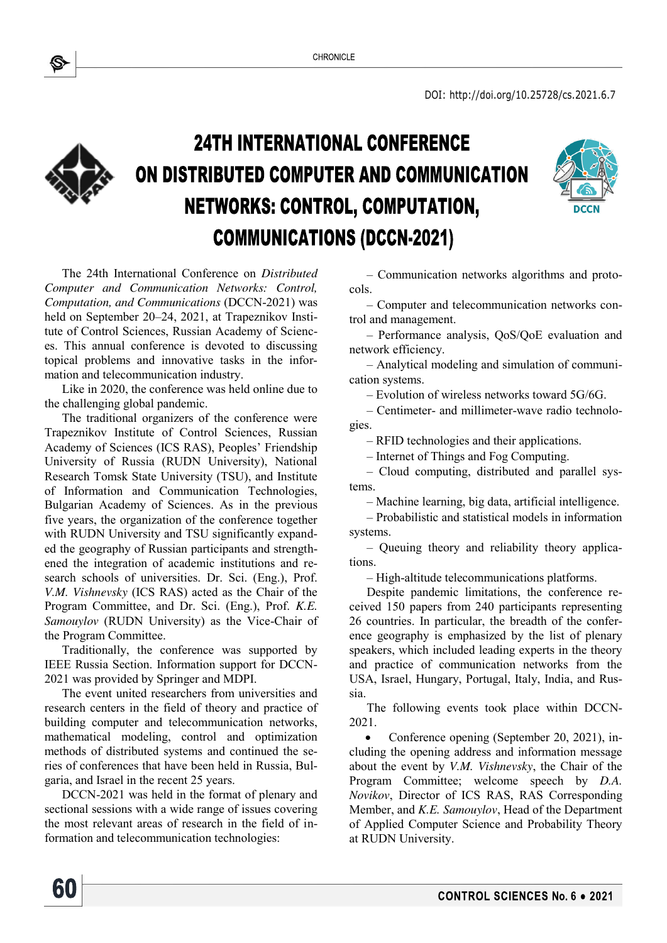

## **24TH INTERNATIONAL CONFERENCE** ON DISTRIBUTED COMPUTER AND COMMUNICATION NETWORKS: CONTROL, COMPUTATION, **COMMUNICATIONS (DCCN-2021)**



The 24th International Conference on *Distributed Computer and Communication Networks: Control, Computation, and Communications* (DCCN-2021) was held on September 20–24, 2021, at Trapeznikov Institute of Control Sciences, Russian Academy of Sciences. This annual conference is devoted to discussing topical problems and innovative tasks in the information and telecommunication industry.

Like in 2020, the conference was held online due to the challenging global pandemic.

The traditional organizers of the conference were Trapeznikov Institute of Control Sciences, Russian Academy of Sciences (ICS RAS), Peoples' Friendship University of Russia (RUDN University), National Research Tomsk State University (TSU), and Institute of Information and Communication Technologies, Bulgarian Academy of Sciences. As in the previous five years, the organization of the conference together with RUDN University and TSU significantly expanded the geography of Russian participants and strengthened the integration of academic institutions and research schools of universities. Dr. Sci. (Eng.), Prof. *V.M. Vishnevsky* (ICS RAS) acted as the Chair of the Program Committee, and Dr. Sci. (Eng.), Prof. *K.E. Samouylov* (RUDN University) as the Vice-Chair of the Program Committee.

Traditionally, the conference was supported by IEEE Russia Section. Information support for DCCN-2021 was provided by Springer and MDPI.

The event united researchers from universities and research centers in the field of theory and practice of building computer and telecommunication networks, mathematical modeling, control and optimization methods of distributed systems and continued the series of conferences that have been held in Russia, Bulgaria, and Israel in the recent 25 years.

DCCN-2021 was held in the format of plenary and sectional sessions with a wide range of issues covering the most relevant areas of research in the field of information and telecommunication technologies:

60

– Communication networks algorithms and protocols.

– Computer and telecommunication networks control and management.

– Performance analysis, QoS/QoE evaluation and network efficiency.

– Analytical modeling and simulation of communication systems.

– Evolution of wireless networks toward 5G/6G.

– Centimeter- and millimeter-wave radio technologies.

– RFID technologies and their applications.

– Internet of Things and Fog Computing.

– Cloud computing, distributed and parallel systems.

– Machine learning, big data, artificial intelligence.

– Probabilistic and statistical models in information systems.

– Queuing theory and reliability theory applications.

– High-altitude telecommunications platforms.

Despite pandemic limitations, the conference received 150 papers from 240 participants representing 26 countries. In particular, the breadth of the conference geography is emphasized by the list of plenary speakers, which included leading experts in the theory and practice of communication networks from the USA, Israel, Hungary, Portugal, Italy, India, and Russia.

The following events took place within DCCN-2021.

 Conference opening (September 20, 2021), including the opening address and information message about the event by *V.M. Vishnevsky*, the Chair of the Program Committee; welcome speech by *D.A. Novikov*, Director of ICS RAS, RAS Corresponding Member, and *K.E. Samouylov*, Head of the Department of Applied Computer Science and Probability Theory at RUDN University.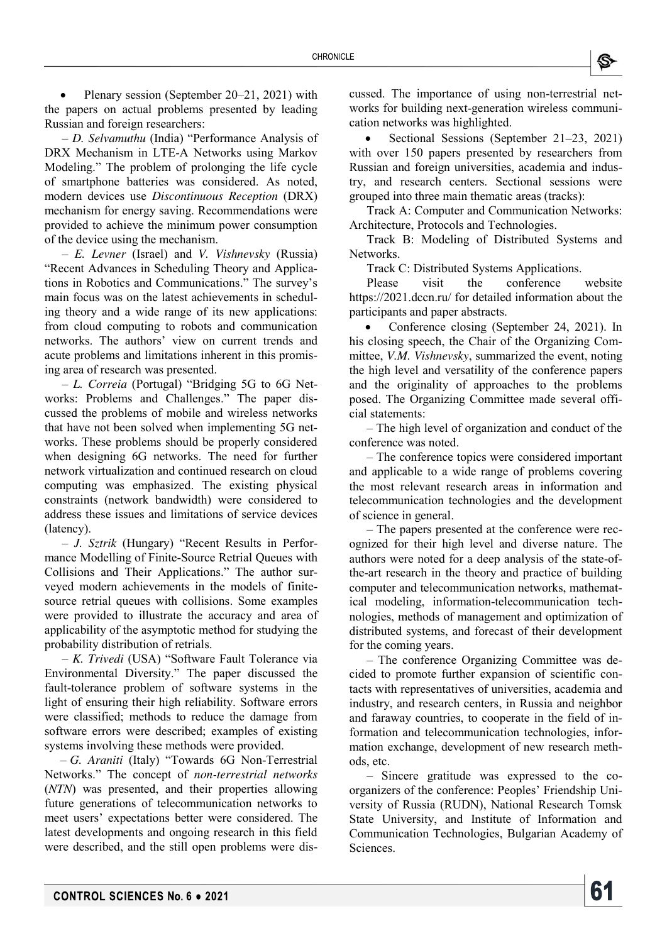

 Plenary session (September 20–21, 2021) with the papers on actual problems presented by leading Russian and foreign researchers:

– *D. Selvamuthu* (India) "Performance Analysis of DRX Mechanism in LTE-A Networks using Markov Modeling." The problem of prolonging the life cycle of smartphone batteries was considered. As noted, modern devices use *Discontinuous Reception* (DRX) mechanism for energy saving. Recommendations were provided to achieve the minimum power consumption of the device using the mechanism.

– *E. Levner* (Israel) and *V. Vishnevsky* (Russia) "Recent Advances in Scheduling Theory and Applications in Robotics and Communications." The survey's main focus was on the latest achievements in scheduling theory and a wide range of its new applications: from cloud computing to robots and communication networks. The authors' view on current trends and acute problems and limitations inherent in this promising area of research was presented.

– *L. Correia* (Portugal) "Bridging 5G to 6G Networks: Problems and Challenges." The paper discussed the problems of mobile and wireless networks that have not been solved when implementing 5G networks. These problems should be properly considered when designing 6G networks. The need for further network virtualization and continued research on cloud computing was emphasized. The existing physical constraints (network bandwidth) were considered to address these issues and limitations of service devices (latency).

– *J. Sztrik* (Hungary) "Recent Results in Performance Modelling of Finite-Source Retrial Queues with Collisions and Their Applications." The author surveyed modern achievements in the models of finitesource retrial queues with collisions. Some examples were provided to illustrate the accuracy and area of applicability of the asymptotic method for studying the probability distribution of retrials.

– *K. Trivedi* (USA) "Software Fault Tolerance via Environmental Diversity." The paper discussed the fault-tolerance problem of software systems in the light of ensuring their high reliability. Software errors were classified; methods to reduce the damage from software errors were described; examples of existing systems involving these methods were provided.

– *G. Araniti* (Italy) "Towards 6G Non-Terrestrial Networks." The concept of *non-terrestrial networks* (*NTN*) was presented, and their properties allowing future generations of telecommunication networks to meet users' expectations better were considered. The latest developments and ongoing research in this field were described, and the still open problems were discussed. The importance of using non-terrestrial networks for building next-generation wireless communication networks was highlighted.

 Sectional Sessions (September 21–23, 2021) with over 150 papers presented by researchers from Russian and foreign universities, academia and industry, and research centers. Sectional sessions were grouped into three main thematic areas (tracks):

Track A: Computer and Communication Networks: Architecture, Protocols and Technologies.

Track B: Modeling of Distributed Systems and Networks.

Track C: Distributed Systems Applications.

Please visit the conference website <https://2021.dccn.ru/>for detailed information about the participants and paper abstracts.

 Conference closing (September 24, 2021). In his closing speech, the Chair of the Organizing Committee, *V.M. Vishnevsky*, summarized the event, noting the high level and versatility of the conference papers and the originality of approaches to the problems posed. The Organizing Committee made several official statements:

– The high level of organization and conduct of the conference was noted.

– The conference topics were considered important and applicable to a wide range of problems covering the most relevant research areas in information and telecommunication technologies and the development of science in general.

– The papers presented at the conference were recognized for their high level and diverse nature. The authors were noted for a deep analysis of the state-ofthe-art research in the theory and practice of building computer and telecommunication networks, mathematical modeling, information-telecommunication technologies, methods of management and optimization of distributed systems, and forecast of their development for the coming years.

– The conference Organizing Committee was decided to promote further expansion of scientific contacts with representatives of universities, academia and industry, and research centers, in Russia and neighbor and faraway countries, to cooperate in the field of information and telecommunication technologies, information exchange, development of new research methods, etc.

– Sincere gratitude was expressed to the coorganizers of the conference: Peoples' Friendship University of Russia (RUDN), National Research Tomsk State University, and Institute of Information and Communication Technologies, Bulgarian Academy of Sciences.